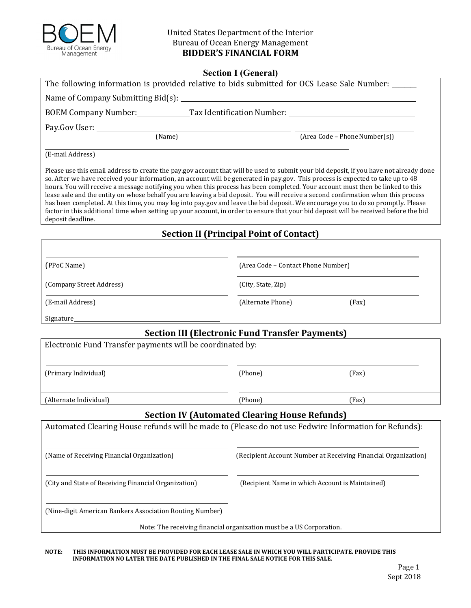

## **BIDDER'S FINANCIAL FORM** United States Department of the Interior Bureau of Ocean Energy Management

## **Section I (General)**

| $\sim$ $\sim$ $\sim$ $\sim$ $\sim$ $\sim$ $\sim$<br>The following information is provided relative to bids submitted for OCS Lease Sale Number:                                                                                                                                                                                                                                                                                                                                                                                                                                                                                                                                                                                                                                                                                                    |                                                                |                                                 |  |  |
|----------------------------------------------------------------------------------------------------------------------------------------------------------------------------------------------------------------------------------------------------------------------------------------------------------------------------------------------------------------------------------------------------------------------------------------------------------------------------------------------------------------------------------------------------------------------------------------------------------------------------------------------------------------------------------------------------------------------------------------------------------------------------------------------------------------------------------------------------|----------------------------------------------------------------|-------------------------------------------------|--|--|
|                                                                                                                                                                                                                                                                                                                                                                                                                                                                                                                                                                                                                                                                                                                                                                                                                                                    |                                                                |                                                 |  |  |
| BOEM Company Number: Tax Identification Number: ________________________________                                                                                                                                                                                                                                                                                                                                                                                                                                                                                                                                                                                                                                                                                                                                                                   |                                                                |                                                 |  |  |
|                                                                                                                                                                                                                                                                                                                                                                                                                                                                                                                                                                                                                                                                                                                                                                                                                                                    |                                                                |                                                 |  |  |
| (Name)                                                                                                                                                                                                                                                                                                                                                                                                                                                                                                                                                                                                                                                                                                                                                                                                                                             |                                                                | (Area Code - Phone Number(s))                   |  |  |
| (E-mail Address)                                                                                                                                                                                                                                                                                                                                                                                                                                                                                                                                                                                                                                                                                                                                                                                                                                   |                                                                |                                                 |  |  |
| Please use this email address to create the pay.gov account that will be used to submit your bid deposit, if you have not already done<br>so. After we have received your information, an account will be generated in pay.gov. This process is expected to take up to 48<br>hours. You will receive a message notifying you when this process has been completed. Your account must then be linked to this<br>lease sale and the entity on whose behalf you are leaving a bid deposit. You will receive a second confirmation when this process<br>has been completed. At this time, you may log into pay gov and leave the bid deposit. We encourage you to do so promptly. Please<br>factor in this additional time when setting up your account, in order to ensure that your bid deposit will be received before the bid<br>deposit deadline. |                                                                |                                                 |  |  |
| <b>Section II (Principal Point of Contact)</b>                                                                                                                                                                                                                                                                                                                                                                                                                                                                                                                                                                                                                                                                                                                                                                                                     |                                                                |                                                 |  |  |
|                                                                                                                                                                                                                                                                                                                                                                                                                                                                                                                                                                                                                                                                                                                                                                                                                                                    |                                                                |                                                 |  |  |
| (PPoC Name)                                                                                                                                                                                                                                                                                                                                                                                                                                                                                                                                                                                                                                                                                                                                                                                                                                        | (Area Code - Contact Phone Number)                             |                                                 |  |  |
| (Company Street Address)                                                                                                                                                                                                                                                                                                                                                                                                                                                                                                                                                                                                                                                                                                                                                                                                                           | (City, State, Zip)                                             |                                                 |  |  |
| (E-mail Address)                                                                                                                                                                                                                                                                                                                                                                                                                                                                                                                                                                                                                                                                                                                                                                                                                                   | (Alternate Phone)                                              | (Fax)                                           |  |  |
| Signature_                                                                                                                                                                                                                                                                                                                                                                                                                                                                                                                                                                                                                                                                                                                                                                                                                                         |                                                                |                                                 |  |  |
| <b>Section III (Electronic Fund Transfer Payments)</b>                                                                                                                                                                                                                                                                                                                                                                                                                                                                                                                                                                                                                                                                                                                                                                                             |                                                                |                                                 |  |  |
| Electronic Fund Transfer payments will be coordinated by:                                                                                                                                                                                                                                                                                                                                                                                                                                                                                                                                                                                                                                                                                                                                                                                          |                                                                |                                                 |  |  |
| (Primary Individual)                                                                                                                                                                                                                                                                                                                                                                                                                                                                                                                                                                                                                                                                                                                                                                                                                               | (Phone)                                                        | (Fax)                                           |  |  |
| (Alternate Individual)                                                                                                                                                                                                                                                                                                                                                                                                                                                                                                                                                                                                                                                                                                                                                                                                                             | (Phone)                                                        | (Fax)                                           |  |  |
| <b>Section IV (Automated Clearing House Refunds)</b>                                                                                                                                                                                                                                                                                                                                                                                                                                                                                                                                                                                                                                                                                                                                                                                               |                                                                |                                                 |  |  |
| Automated Clearing House refunds will be made to (Please do not use Fedwire Information for Refunds):                                                                                                                                                                                                                                                                                                                                                                                                                                                                                                                                                                                                                                                                                                                                              |                                                                |                                                 |  |  |
| (Name of Receiving Financial Organization)                                                                                                                                                                                                                                                                                                                                                                                                                                                                                                                                                                                                                                                                                                                                                                                                         | (Recipient Account Number at Receiving Financial Organization) |                                                 |  |  |
| (City and State of Receiving Financial Organization)                                                                                                                                                                                                                                                                                                                                                                                                                                                                                                                                                                                                                                                                                                                                                                                               |                                                                | (Recipient Name in which Account is Maintained) |  |  |
| (Nine-digit American Bankers Association Routing Number)                                                                                                                                                                                                                                                                                                                                                                                                                                                                                                                                                                                                                                                                                                                                                                                           |                                                                |                                                 |  |  |
| Note: The receiving financial organization must be a US Corporation.                                                                                                                                                                                                                                                                                                                                                                                                                                                                                                                                                                                                                                                                                                                                                                               |                                                                |                                                 |  |  |

NOTE: THIS INFORMATION MUST BE PROVIDED FOR EACH LEASE SALE IN WHICH YOU WILL PARTICIPATE. PROVIDE THIS  **INFORMATION NO LATER THE DATE PUBLISHED IN THE FINAL SALE NOTICE FOR THIS SALE.**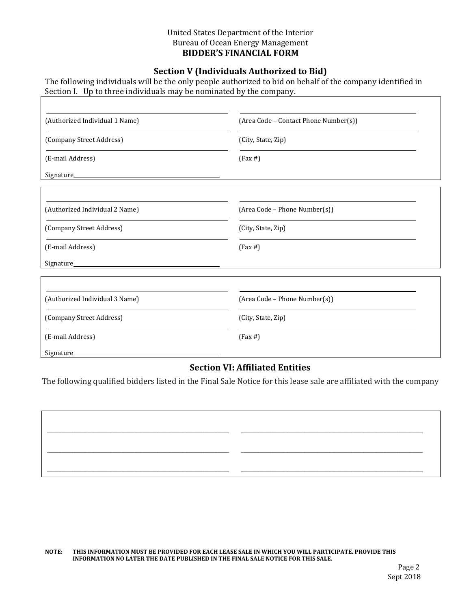#### **BIDDER'S FINANCIAL FORM** United States Department of the Interior Bureau of Ocean Energy Management

## **Section V (Individuals Authorized to Bid)**

The following individuals will be the only people authorized to bid on behalf of the company identified in Section I. Up to three individuals may be nominated by the company.

| (Authorized Individual 1 Name) | (Area Code - Contact Phone Number(s)) |  |  |
|--------------------------------|---------------------------------------|--|--|
| (Company Street Address)       | (City, State, Zip)                    |  |  |
| (E-mail Address)               | $(Fax \#)$                            |  |  |
| Signature_                     |                                       |  |  |
|                                |                                       |  |  |
| (Authorized Individual 2 Name) | (Area Code - Phone Number(s))         |  |  |
| (Company Street Address)       | (City, State, Zip)                    |  |  |
| (E-mail Address)               | $(Fax \#)$                            |  |  |
| Signature_                     |                                       |  |  |
|                                |                                       |  |  |
| (Authorized Individual 3 Name) | (Area Code - Phone Number(s))         |  |  |
| (Company Street Address)       | (City, State, Zip)                    |  |  |
| (E-mail Address)               | $(Fax \#)$                            |  |  |
| <b>Signature</b>               |                                       |  |  |

## **Section VI: Affiliated Entities**

The following qualified bidders listed in the Final Sale Notice for this lease sale are affiliated with the company

 $\mathcal{L}_\mathcal{L} = \{ \mathcal{L}_\mathcal{L} = \{ \mathcal{L}_\mathcal{L} = \{ \mathcal{L}_\mathcal{L} = \{ \mathcal{L}_\mathcal{L} = \{ \mathcal{L}_\mathcal{L} = \{ \mathcal{L}_\mathcal{L} = \{ \mathcal{L}_\mathcal{L} = \{ \mathcal{L}_\mathcal{L} = \{ \mathcal{L}_\mathcal{L} = \{ \mathcal{L}_\mathcal{L} = \{ \mathcal{L}_\mathcal{L} = \{ \mathcal{L}_\mathcal{L} = \{ \mathcal{L}_\mathcal{L} = \{ \mathcal{L}_\mathcal{$ 

 $\mathcal{L}_\mathcal{L} = \{ \mathcal{L}_\mathcal{L} = \{ \mathcal{L}_\mathcal{L} = \{ \mathcal{L}_\mathcal{L} = \{ \mathcal{L}_\mathcal{L} = \{ \mathcal{L}_\mathcal{L} = \{ \mathcal{L}_\mathcal{L} = \{ \mathcal{L}_\mathcal{L} = \{ \mathcal{L}_\mathcal{L} = \{ \mathcal{L}_\mathcal{L} = \{ \mathcal{L}_\mathcal{L} = \{ \mathcal{L}_\mathcal{L} = \{ \mathcal{L}_\mathcal{L} = \{ \mathcal{L}_\mathcal{L} = \{ \mathcal{L}_\mathcal{$ 

 $\_$  , and the state of the state of the state of the state of the state of the state of the state of the state of the state of the state of the state of the state of the state of the state of the state of the state of the

NOTE: THIS INFORMATION MUST BE PROVIDED FOR EACH LEASE SALE IN WHICH YOU WILL PARTICIPATE. PROVIDE THIS  **INFORMATION NO LATER THE DATE PUBLISHED IN THE FINAL SALE NOTICE FOR THIS SALE.**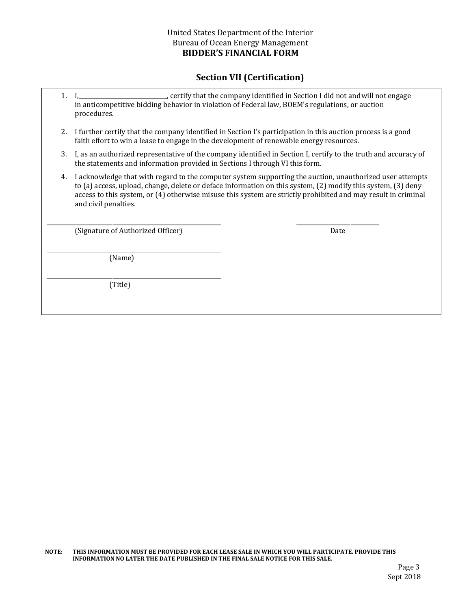## **Section VII (Certification)**

|    | _, certify that the company identified in Section I did not and will not engage<br>in anticompetitive bidding behavior in violation of Federal law, BOEM's regulations, or auction<br>procedures.                                                                                                                                                                 |      |  |
|----|-------------------------------------------------------------------------------------------------------------------------------------------------------------------------------------------------------------------------------------------------------------------------------------------------------------------------------------------------------------------|------|--|
| 2. | I further certify that the company identified in Section I's participation in this auction process is a good<br>faith effort to win a lease to engage in the development of renewable energy resources.                                                                                                                                                           |      |  |
| 3. | I, as an authorized representative of the company identified in Section I, certify to the truth and accuracy of<br>the statements and information provided in Sections I through VI this form.                                                                                                                                                                    |      |  |
| 4. | I acknowledge that with regard to the computer system supporting the auction, unauthorized user attempts<br>to (a) access, upload, change, delete or deface information on this system, (2) modify this system, (3) deny<br>access to this system, or (4) otherwise misuse this system are strictly prohibited and may result in criminal<br>and civil penalties. |      |  |
|    | (Signature of Authorized Officer)                                                                                                                                                                                                                                                                                                                                 | Date |  |

(Name)

\_\_\_\_\_\_\_\_\_\_\_\_\_\_\_\_\_\_\_\_\_\_\_\_\_\_\_\_\_\_\_\_\_\_\_\_\_\_\_\_\_\_\_\_\_\_\_\_\_\_\_\_\_\_\_\_\_\_\_\_\_

\_\_\_\_\_\_\_\_\_\_\_\_\_\_\_\_\_\_\_\_\_\_\_\_\_\_\_\_\_\_\_\_\_\_\_\_\_\_\_\_\_\_\_\_\_\_\_\_\_\_\_\_\_\_\_\_\_\_\_\_\_

(Title)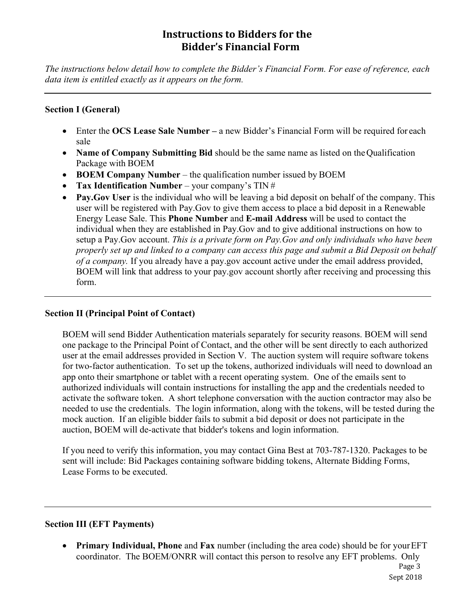# **Instructions to Bidders for the Bidder's Financial Form**

*The instructions below detail how to complete the Bidder's Financial Form. For ease of reference, each data item is entitled exactly as it appears on the form.* 

## **Section I (General)**

- Enter the **OCS Lease Sale Number** a new Bidder's Financial Form will be required for each sale
- **Name of Company Submitting Bid** should be the same name as listed on the Qualification Package with BOEM
- **BOEM Company Number** the qualification number issued by BOEM
- **Tax Identification Number**  your company's TIN #
- Pay.Gov User is the individual who will be leaving a bid deposit on behalf of the company. This user will be registered with Pay.Gov to give them access to place a bid deposit in a Renewable Energy Lease Sale. This **Phone Number** and **E-mail Address** will be used to contact the individual when they are established in Pay.Gov and to give additional instructions on how to setup a Pay.Gov account. *This is a private form on Pay.Gov and only individuals who have been properly set up and linked to a company can access this page and submit a Bid Deposit on behalf of a company.* If you already have a pay.gov account active under the email address provided, BOEM will link that address to your pay.gov account shortly after receiving and processing this form.

#### **Section II (Principal Point of Contact)**

BOEM will send Bidder Authentication materials separately for security reasons. BOEM will send one package to the Principal Point of Contact, and the other will be sent directly to each authorized user at the email addresses provided in Section V. The auction system will require software tokens for two-factor authentication. To set up the tokens, authorized individuals will need to download an app onto their smartphone or tablet with a recent operating system. One of the emails sent to authorized individuals will contain instructions for installing the app and the credentials needed to activate the software token. A short telephone conversation with the auction contractor may also be needed to use the credentials. The login information, along with the tokens, will be tested during the mock auction. If an eligible bidder fails to submit a bid deposit or does not participate in the auction, BOEM will de-activate that bidder's tokens and login information.

If you need to verify this information, you may contact Gina Best at 703-787-1320. Packages to be sent will include: Bid Packages containing software bidding tokens, Alternate Bidding Forms, Lease Forms to be executed.

#### **Section III (EFT Payments)**

 **Primary Individual, Phone** and **Fax** number (including the area code) should be for your EFT coordinator. The BOEM/ONRR will contact this person to resolve any EFT problems. Only Page 3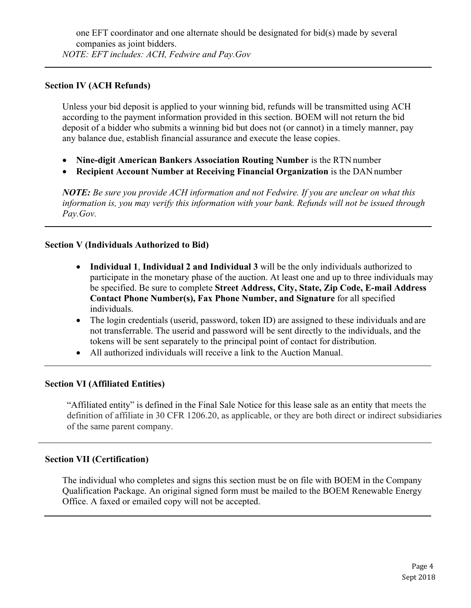## **Section IV (ACH Refunds)**

Unless your bid deposit is applied to your winning bid, refunds will be transmitted using ACH according to the payment information provided in this section. BOEM will not return the bid deposit of a bidder who submits a winning bid but does not (or cannot) in a timely manner, pay any balance due, establish financial assurance and execute the lease copies.

- **Nine-digit American Bankers Association Routing Number** is the RTN number
- **Recipient Account Number at Receiving Financial Organization** is the DAN number

*NOTE: Be sure you provide ACH information and not Fedwire. If you are unclear on what this information is, you may verify this information with your bank. Refunds will not be issued through Pay.Gov.* 

## **Section V (Individuals Authorized to Bid)**

- **Individual 1**, **Individual 2 and Individual 3** will be the only individuals authorized to participate in the monetary phase of the auction. At least one and up to three individuals may be specified. Be sure to complete **Street Address, City, State, Zip Code, E-mail Address Contact Phone Number(s), Fax Phone Number, and Signature** for all specified individuals.
- The login credentials (userid, password, token ID) are assigned to these individuals and are not transferrable. The userid and password will be sent directly to the individuals, and the tokens will be sent separately to the principal point of contact for distribution.
- All authorized individuals will receive a link to the Auction Manual.

#### **Section VI (Affiliated Entities)**

"Affiliated entity" is defined in the Final Sale Notice for this lease sale as an entity that meets the definition of affiliate in 30 CFR 1206.20, as applicable, or they are both direct or indirect subsidiaries of the same parent company.

#### **Section VII (Certification)**

The individual who completes and signs this section must be on file with BOEM in the Company Qualification Package. An original signed form must be mailed to the BOEM Renewable Energy Office. A faxed or emailed copy will not be accepted.